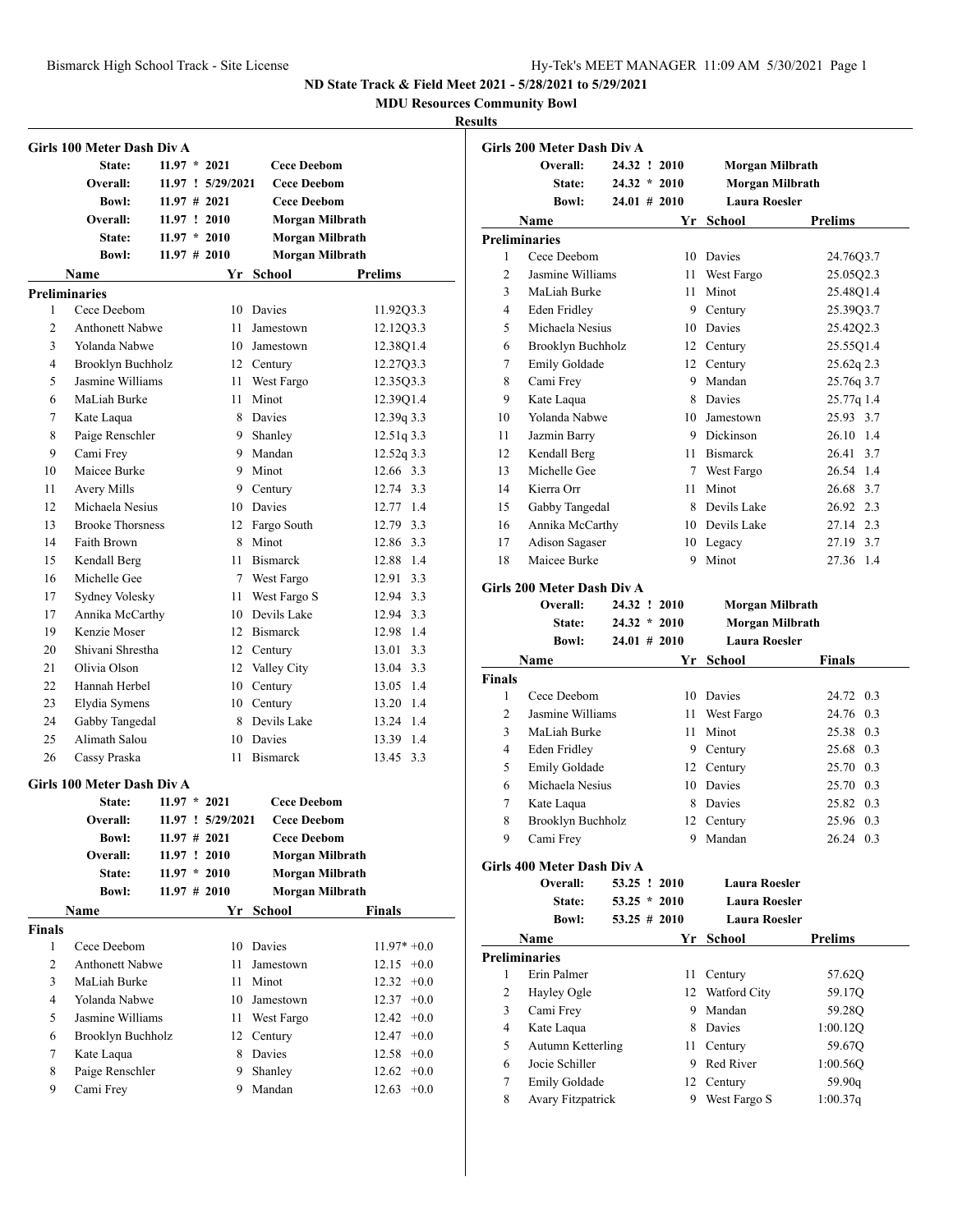**MDU Resources Community Bowl**

|                | Girls 100 Meter Dash Div A        |                 |                   |                              |                 |
|----------------|-----------------------------------|-----------------|-------------------|------------------------------|-----------------|
|                | State:                            | $11.97 * 2021$  |                   | <b>Cece Deebom</b>           |                 |
|                | Overall:                          |                 | 11.97 ! 5/29/2021 | <b>Cece Deebom</b>           |                 |
|                | <b>Bowl:</b>                      | $11.97 \# 2021$ |                   | <b>Cece Deebom</b>           |                 |
|                | Overall:                          | 11.97 : 2010    |                   | Morgan Milbrath              |                 |
|                | State:                            | $11.97 * 2010$  |                   | Morgan Milbrath              |                 |
|                | <b>Bowl:</b>                      | $11.97 \# 2010$ |                   | Morgan Milbrath              |                 |
|                | Name                              |                 | Yr                | School                       | <b>Prelims</b>  |
|                | <b>Preliminaries</b>              |                 |                   |                              |                 |
| 1              | Cece Deebom                       |                 |                   | 10 Davies                    | 11.92Q3.3       |
| $\overline{c}$ | <b>Anthonett Nabwe</b>            |                 | 11                | Jamestown                    | 12.12Q3.3       |
| 3              | Yolanda Nabwe                     |                 |                   | 10 Jamestown                 | 12.38Q1.4       |
| 4              | Brooklyn Buchholz                 |                 |                   | 12 Century                   | 12.27Q3.3       |
| 5              | Jasmine Williams                  |                 |                   | 11 West Fargo                | 12.35Q3.3       |
| 6              | MaLiah Burke                      |                 | 11                | Minot                        | 12.39Q1.4       |
| 7              | Kate Laqua                        |                 |                   | 8 Davies                     | 12.39q 3.3      |
| 8              | Paige Renschler                   |                 |                   | 9 Shanley                    | 12.51q 3.3      |
| 9              | Cami Frey                         |                 |                   | 9 Mandan                     | $12.52q$ 3.3    |
| 10             | Maicee Burke                      |                 |                   | 9 Minot                      | 12.66 3.3       |
| 11             | Avery Mills                       |                 |                   | 9 Century                    | 12.74 3.3       |
| 12             | Michaela Nesius                   |                 |                   | 10 Davies                    | 12.77 1.4       |
| 13             | <b>Brooke Thorsness</b>           |                 |                   | 12 Fargo South               | 12.79 3.3       |
| 14             | Faith Brown                       |                 |                   | 8 Minot                      | 12.86 3.3       |
| 15             | Kendall Berg                      |                 |                   | 11 Bismarck                  | 12.88 1.4       |
| 16             | Michelle Gee                      |                 |                   | 7 West Fargo                 | 12.91 3.3       |
|                |                                   |                 |                   | 11 West Fargo S              | 12.94 3.3       |
| 17<br>17       | Sydney Volesky<br>Annika McCarthy |                 |                   | 10 Devils Lake               | 12.94 3.3       |
| 19             | Kenzie Moser                      |                 |                   | 12 Bismarck                  | 12.98 1.4       |
| 20             | Shivani Shrestha                  |                 |                   |                              | 13.01 3.3       |
| 21             | Olivia Olson                      |                 |                   | 12 Century<br>12 Valley City | 13.04 3.3       |
| 22             | Hannah Herbel                     |                 |                   |                              | 13.05 1.4       |
| 23             |                                   |                 |                   | 10 Century                   | 13.20 1.4       |
| 24             | Elydia Symens                     |                 |                   | 10 Century<br>8 Devils Lake  | 13.24 1.4       |
| 25             | Gabby Tangedal<br>Alimath Salou   |                 |                   | 10 Davies                    | 13.39 1.4       |
| 26             |                                   |                 |                   | <b>Bismarck</b>              | 13.45 3.3       |
|                | Cassy Praska                      |                 | 11                |                              |                 |
|                | Girls 100 Meter Dash Div A        |                 |                   |                              |                 |
|                | State:                            | $11.97 * 2021$  |                   | <b>Cece Deebom</b>           |                 |
|                | Overall:                          |                 | 11.97 : 5/29/2021 | <b>Cece Deebom</b>           |                 |
|                | <b>Bowl:</b>                      |                 | $11.97 \# 2021$   | <b>Cece Deebom</b>           |                 |
|                | Overall:                          |                 | 11.97 ! 2010      | Morgan Milbrath              |                 |
|                | State:                            |                 | $11.97 * 2010$    | Morgan Milbrath              |                 |
|                | <b>Bowl:</b>                      |                 | $11.97$ # 2010    | Morgan Milbrath              |                 |
|                | Name                              |                 |                   | Yr School                    | Finals          |
| <b>Finals</b>  |                                   |                 |                   |                              |                 |
| 1              | Cece Deebom                       |                 |                   | 10 Davies                    | $11.97* +0.0$   |
| 2              | <b>Anthonett Nabwe</b>            |                 | 11                | Jamestown                    | $12.15 +0.0$    |
| 3              | MaLiah Burke                      |                 | 11                | Minot                        | 12.32<br>$+0.0$ |
| $\overline{4}$ | Yolanda Nabwe                     |                 |                   | 10 Jamestown                 | $12.37 +0.0$    |
| 5              | Jasmine Williams                  |                 |                   | 11 West Fargo                | $12.42 +0.0$    |
| 6              | Brooklyn Buchholz                 |                 |                   | 12 Century                   | $12.47 +0.0$    |
| 7              | Kate Laqua                        |                 | 8                 | Davies                       | $12.58 + 0.0$   |
| 8              | Paige Renschler                   |                 | 9                 | Shanley                      | $12.62 +0.0$    |
| 9              | Cami Frey                         |                 | 9                 | Mandan                       | $12.63 +0.0$    |

|              | Girls 200 Meter Dash Div A |                 |      |                        |                |
|--------------|----------------------------|-----------------|------|------------------------|----------------|
|              | Overall:                   | 24.32 ! 2010    |      | Morgan Milbrath        |                |
|              | State:                     | $24.32 * 2010$  |      | <b>Morgan Milbrath</b> |                |
|              | <b>Bowl:</b>               | $24.01 \# 2010$ |      | <b>Laura Roesler</b>   |                |
|              | Name                       |                 |      | Yr School              | <b>Prelims</b> |
|              | <b>Preliminaries</b>       |                 |      |                        |                |
| 1            | Cece Deebom                |                 | 10   | Davies                 | 24.7603.7      |
| 2            | Jasmine Williams           |                 | 11   | West Fargo             | 25.05Q2.3      |
| 3            | MaLiah Burke               |                 | 11   | Minot                  | 25.48Q1.4      |
| 4            | <b>Eden Fridley</b>        |                 |      | 9 Century              | 25.39Q3.7      |
| 5            | Michaela Nesius            |                 |      | 10 Davies              | 25.4202.3      |
| 6            | <b>Brooklyn Buchholz</b>   |                 |      | 12 Century             | 25.55Q1.4      |
| 7            | Emily Goldade              |                 |      | 12 Century             | 25.62q 2.3     |
| 8            | Cami Frey                  |                 |      | 9 Mandan               | 25.76q 3.7     |
| 9            | Kate Laqua                 |                 |      | 8 Davies               | 25.77q 1.4     |
| 10           | Yolanda Nabwe              |                 |      | 10 Jamestown           | 25.93 3.7      |
| 11           | Jazmin Barry               |                 |      | 9 Dickinson            | 26.10 1.4      |
| 12           | Kendall Berg               |                 |      | 11 Bismarck            | 3.7<br>26.41   |
| 13           | Michelle Gee               |                 |      | 7 West Fargo           | 26.54 1.4      |
| 14           | Kierra Orr                 |                 | 11 - | Minot                  | 26.68 3.7      |
| 15           | Gabby Tangedal             |                 | 8    | Devils Lake            | 26.92 2.3      |
| 16           | Annika McCarthy            |                 |      | 10 Devils Lake         | 27.14 2.3      |
| 17           | Adison Sagaser             |                 |      | 10 Legacy              | 27.19 3.7      |
| 18           | Maicee Burke               |                 | 9    | Minot                  | 27.36<br>1.4   |
|              |                            |                 |      |                        |                |
|              | Girls 200 Meter Dash Div A |                 |      |                        |                |
|              | Overall:                   | 24.32 ! 2010    |      | Morgan Milbrath        |                |
|              | <b>State:</b>              | $24.32 * 2010$  |      | <b>Morgan Milbrath</b> |                |
|              | <b>Bowl:</b>               | $24.01 \# 2010$ |      | <b>Laura Roesler</b>   |                |
|              | Name                       |                 | Yr   | <b>School</b>          | <b>Finals</b>  |
| Finals<br>1  | Cece Deebom                |                 | 10   | Davies                 | 24.72 0.3      |
| 2            | Jasmine Williams           |                 | 11 - | West Fargo             | 24.76<br>0.3   |
| 3            | MaLiah Burke               |                 | 11   | Minot                  | 0.3<br>25.38   |
| 4            | <b>Eden Fridley</b>        |                 |      | 9 Century              | 25.68<br>0.3   |
| 5            | Emily Goldade              |                 |      | 12 Century             | 25.70 0.3      |
| 6            | Michaela Nesius            |                 |      | 10 Davies              |                |
|              |                            |                 |      |                        | 25.70 0.3      |
| 7            | Kate Laqua                 |                 | 8    | Davies                 | 25.82 0.3      |
| 8            | Brooklyn Buchholz          |                 |      | 12 Century             | 25.96 0.3      |
| 9            | Cami Frey                  |                 |      | 9 Mandan               | 26.24 0.3      |
|              | Girls 400 Meter Dash Div A |                 |      |                        |                |
|              | Overall:                   | 53.25 ! 2010    |      | <b>Laura Roesler</b>   |                |
|              | <b>State:</b>              | $53.25 * 2010$  |      | <b>Laura Roesler</b>   |                |
|              | <b>Bowl:</b>               | $53.25$ # 2010  |      | <b>Laura Roesler</b>   |                |
|              | Name                       |                 | Yr   | <b>School</b>          | <b>Prelims</b> |
|              | <b>Preliminaries</b>       |                 |      |                        |                |
| 1            | Erin Palmer                |                 | 11   | Century                | 57.62Q         |
| $\mathbf{2}$ | Hayley Ogle                |                 |      | 12 Watford City        | 59.17Q         |
| 3            | Cami Frey                  |                 |      | 9 Mandan               | 59.28Q         |
|              |                            |                 |      | 8 Davies               |                |
| 4            | Kate Laqua                 |                 |      |                        | 1:00.12Q       |
| 5            | Autumn Ketterling          |                 |      | 11 Century             | 59.67Q         |
| 6            | Jocie Schiller             |                 |      | 9 Red River            | 1:00.56Q       |
| 7            | Emily Goldade              |                 | 12   | Century                | 59.90q         |
| 8            | Avary Fitzpatrick          |                 | 9    | West Fargo S           | 1:00.37q       |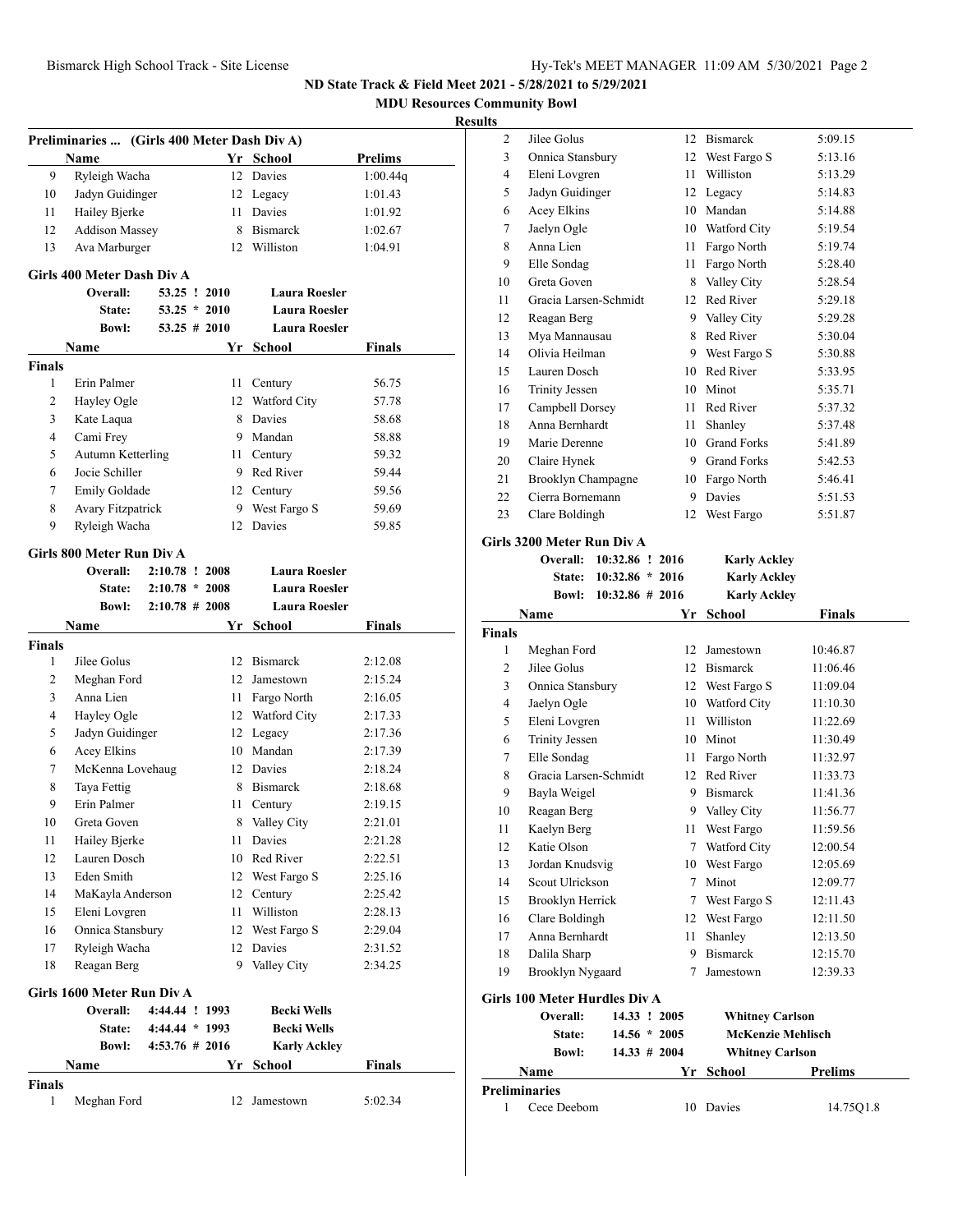**MDU Resources Community Bowl Resul Preliminaries ... (Girls 400 Meter Dash Div A) Name Yr School Prelims** 9 Ryleigh Wacha 12 Davies 1:00.44q 10 Jadyn Guidinger 12 Legacy 1:01.43 11 Hailey Bjerke 11 Davies 1:01.92 12 Addison Massey 8 Bismarck 1:02.67 13 Ava Marburger 12 Williston 1:04.91 **Girls 400 Meter Dash Div A Overall: 53.25 ! 2010 Laura Roesler State: 53.25 \* 2010 Laura Roesler Bowl: 53.25 # 2010 Laura Roesler Name Yr School Finals Finals** 1 Erin Palmer 11 Century 56.75 2 Hayley Ogle 12 Watford City 57.78 3 Kate Laqua 8 Davies 58.68 4 Cami Frey 9 Mandan 58.88 5 Autumn Ketterling 11 Century 59.32 6 Jocie Schiller 9 Red River 59.44 7 Emily Goldade 12 Century 59.56 8 Avary Fitzpatrick 9 West Fargo S 59.69 9 Ryleigh Wacha 12 Davies 59.85 **Girls 800 Meter Run Div A Overall: 2:10.78 ! 2008 Laura Roesler State: 2:10.78 \* 2008 Laura Roesler Bowl: 2:10.78 # 2008 Laura Roesler Name Yr School Finals Finals** 1 Jilee Golus 12 Bismarck 2:12.08 2 Meghan Ford 12 Jamestown 2:15.24 3 Anna Lien 11 Fargo North 2:16.05 4 Hayley Ogle 12 Watford City 2:17.33 5 Jadyn Guidinger 12 Legacy 2:17.36 6 Acey Elkins 10 Mandan 2:17.39 7 McKenna Lovehaug 12 Davies 2:18.24 8 Taya Fettig 8 Bismarck 2:18.68 9 Erin Palmer 11 Century 2:19.15 10 Greta Goven 8 Valley City 2:21.01 11 Hailey Bjerke 11 Davies 2:21.28 12 Lauren Dosch 10 Red River 2:22.51 13 Eden Smith 12 West Fargo S 2:25.16 14 MaKayla Anderson 12 Century 2:25.42 15 Eleni Lovgren 11 Williston 2:28.13 16 Onnica Stansbury 12 West Fargo S 2:29.04 17 Ryleigh Wacha 12 Davies 2:31.52 18 Reagan Berg 9 Valley City 2:34.25 **Girls 1600 Meter Run Div A Overall: 4:44.44 ! 1993 Becki Wells State: 4:44.44 \* 1993 Becki Wells Bowl: 4:53.76 # 2016 Karly Ackley Name Yr School Finals Finals** 1 Meghan Ford 12 Jamestown 5:02.34 **Finals**

| lts            |                                    |         |                     |                      |  |
|----------------|------------------------------------|---------|---------------------|----------------------|--|
| 2              | Jilee Golus                        |         | 12 Bismarck         | 5:09.15              |  |
| 3              | Onnica Stansbury                   |         | 12 West Fargo S     | 5:13.16              |  |
| 4              | Eleni Lovgren                      |         | 11 Williston        | 5:13.29              |  |
| 5              | Jadyn Guidinger                    |         | 12 Legacy           | 5:14.83              |  |
| 6              | Acey Elkins                        |         | 10 Mandan           | 5:14.88              |  |
| 7              | Jaelyn Ogle                        |         | 10 Watford City     | 5:19.54              |  |
| 8              | Anna Lien                          |         | 11 Fargo North      | 5:19.74              |  |
| 9              | Elle Sondag                        |         | 11 Fargo North      | 5:28.40              |  |
| 10             | Greta Goven                        |         | 8 Valley City       | 5:28.54              |  |
| 11             | Gracia Larsen-Schmidt              |         | 12 Red River        | 5:29.18              |  |
| 12             | Reagan Berg                        |         | 9 Valley City       | 5:29.28              |  |
| 13             | Mya Mannausau                      | 8       | Red River           | 5:30.04              |  |
| 14             | Olivia Heilman                     |         | 9 West Fargo S      | 5:30.88              |  |
| 15             | Lauren Dosch                       |         | 10 Red River        | 5:33.95              |  |
| 16             | <b>Trinity Jessen</b>              |         | 10 Minot            | 5:35.71              |  |
| 17             | Campbell Dorsey                    |         | 11 Red River        | 5:37.32              |  |
| 18             | Anna Bernhardt                     |         | 11 Shanley          | 5:37.48              |  |
| 19             | Marie Derenne                      |         | 10 Grand Forks      | 5:41.89              |  |
| 20             | Claire Hynek                       |         | 9 Grand Forks       | 5:42.53              |  |
| 21             | Brooklyn Champagne                 |         | 10 Fargo North      | 5:46.41              |  |
| 22             | Cierra Bornemann                   |         | 9 Davies            | 5:51.53              |  |
| 23             | Clare Boldingh                     | 12      | West Fargo          | 5:51.87              |  |
|                | Girls 3200 Meter Run Div A         |         |                     |                      |  |
|                |                                    |         |                     |                      |  |
|                | <b>Overall:</b><br>10:32.86 ! 2016 |         | <b>Karly Ackley</b> |                      |  |
|                | $10:32.86 * 2016$<br><b>State:</b> |         | <b>Karly Ackley</b> |                      |  |
|                | $10:32.86 \# 2016$<br>Bowl:        |         | <b>Karly Ackley</b> |                      |  |
|                | Name                               |         | Yr School           | <b>Finals</b>        |  |
| Finals         |                                    |         |                     |                      |  |
| 1              | Meghan Ford                        |         | 12 Jamestown        | 10:46.87             |  |
| $\overline{c}$ | Jilee Golus                        |         | 12 Bismarck         | 11:06.46             |  |
| 3              | Onnica Stansbury                   |         | 12 West Fargo S     | 11:09.04             |  |
| 4              | Jaelyn Ogle                        |         | 10 Watford City     | 11:10.30             |  |
| 5              | Eleni Lovgren                      |         | 11 Williston        | 11:22.69             |  |
| 6              | <b>Trinity Jessen</b>              |         | 10 Minot            | 11:30.49             |  |
| 7              | Elle Sondag                        | 11 -    | Fargo North         | 11:32.97             |  |
| 8              | Gracia Larsen-Schmidt              | 12      | Red River           | 11:33.73             |  |
| 9              | Bayla Weigel                       | 9       | <b>Bismarck</b>     | 11:41.36             |  |
| 10             | Reagan Berg                        | 9       | Valley City         | 11:56.77             |  |
| 11             | Kaelyn Berg                        | 11      | West Fargo          | 11:59.56             |  |
| 12             | Katie Olson                        | 7       | Watford City        | 12:00.54             |  |
| 13             | Jordan Knudsvig                    | 10      | West Fargo          | 12:05.69             |  |
| 14             | Scout Ulrickson                    | 7       | Minot               | 12:09.77             |  |
| 15             | Brooklyn Herrick                   | 7       | West Fargo S        | 12:11.43             |  |
| 16             | Clare Boldingh                     | 12      | West Fargo          | 12:11.50             |  |
| 17<br>18       | Anna Bernhardt<br>Dalila Sharp     | 11<br>9 | Shanley<br>Bismarck | 12:13.50<br>12:15.70 |  |

**Girls 100 Meter Hurdles Div A**

| Girls 100 Meter Hurdles Div A |                 |                        |                          |
|-------------------------------|-----------------|------------------------|--------------------------|
| Overall:                      | 14.33 ! 2005    | <b>Whitney Carlson</b> |                          |
| State:                        | $14.56 * 2005$  |                        | <b>McKenzie Mehlisch</b> |
| <b>Bowl:</b>                  | $14.33 \# 2004$ | <b>Whitney Carlson</b> |                          |
| <b>Name</b>                   |                 | Yr School              | <b>Prelims</b>           |
| Preliminaries                 |                 |                        |                          |
| Cece Deebom                   | 10              | Davies                 | 14.75Q1.8                |

19 Brooklyn Nygaard 7 Jamestown 12:39.33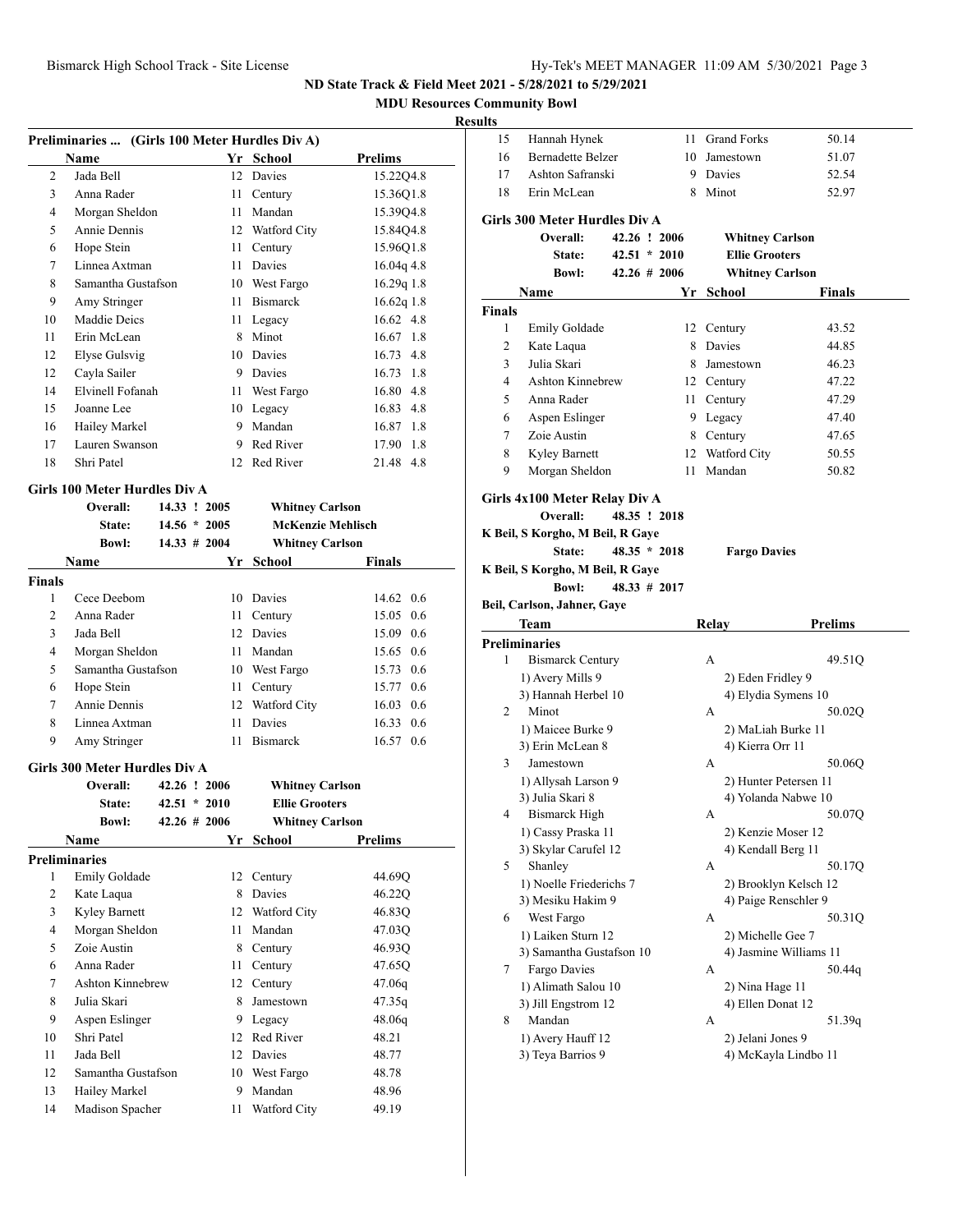**MDU Resources Community Bowl**

#### **Results**

| Preliminaries  (Girls 100 Meter Hurdles Div A) |                               |                  |                          |                |  |  |
|------------------------------------------------|-------------------------------|------------------|--------------------------|----------------|--|--|
|                                                | <b>Name</b>                   | Yr               | <b>School</b>            | <b>Prelims</b> |  |  |
| $\overline{2}$                                 | Jada Bell                     | 12               | Davies                   | 15.22Q4.8      |  |  |
| 3                                              | Anna Rader                    | 11               | Century                  | 15.36Q1.8      |  |  |
| 4                                              | Morgan Sheldon                | 11               | Mandan                   | 15.39Q4.8      |  |  |
| 5                                              | Annie Dennis                  | 12               | Watford City             | 15.84Q4.8      |  |  |
| 6                                              | Hope Stein                    | 11               | Century                  | 15.96Q1.8      |  |  |
| 7                                              | Linnea Axtman                 | 11               | Davies                   | 16.04q 4.8     |  |  |
| 8                                              | Samantha Gustafson            | 10               | West Fargo               | $16.29q$ 1.8   |  |  |
| 9                                              | Amy Stringer                  | 11               | <b>Bismarck</b>          | $16.62q$ 1.8   |  |  |
| 10                                             | Maddie Deics                  | 11               | Legacy                   | 16.62 4.8      |  |  |
| 11                                             | Erin McLean                   | 8                | Minot                    | 16.67 1.8      |  |  |
| 12                                             | Elyse Gulsvig                 | 10               | Davies                   | 16.73 4.8      |  |  |
| 12                                             | Cayla Sailer                  | 9                | Davies                   | 16.73<br>-1.8  |  |  |
| 14                                             | Elvinell Fofanah              | 11               | West Fargo               | 16.80 4.8      |  |  |
| 15                                             | Joanne Lee                    | 10               | Legacy                   | 16.83 4.8      |  |  |
| 16                                             | Hailey Markel                 | 9                | Mandan                   | 16.87 1.8      |  |  |
| 17                                             | Lauren Swanson                | 9                | Red River                | 17.90 1.8      |  |  |
| 18                                             | Shri Patel                    | 12               | Red River                | 21.48 4.8      |  |  |
|                                                | Girls 100 Meter Hurdles Div A |                  |                          |                |  |  |
|                                                | Overall:                      | 14.33 ! 2005     | <b>Whitney Carlson</b>   |                |  |  |
|                                                | State:                        | $14.56*$<br>2005 | <b>McKenzie Mehlisch</b> |                |  |  |

|        | <b>Bowl:</b>       | $14.33 \# 2004$ |     | <b>Whitney Carlson</b> |                   |
|--------|--------------------|-----------------|-----|------------------------|-------------------|
|        | <b>Name</b>        |                 |     | Yr School              | <b>Finals</b>     |
| Finals |                    |                 |     |                        |                   |
| 1      | Cece Deebom        |                 | 10  | Davies                 | 14.62 0.6         |
| 2      | Anna Rader         |                 |     | 11 Century             | 15.05 0.6         |
| 3      | Jada Bell          |                 |     | 12 Davies              | 15.09 0.6         |
| 4      | Morgan Sheldon     |                 | 11. | Mandan                 | 15.65 0.6         |
| 5      | Samantha Gustafson |                 | 10  | West Fargo             | 15.73 0.6         |
| 6      | Hope Stein         |                 | 11  | Century                | 15.77 0.6         |
| 7      | Annie Dennis       |                 | 12  | Watford City           | $16.03 \quad 0.6$ |
| 8      | Linnea Axtman      |                 | 11  | Davies                 | 16.33<br>0.6      |
| 9      | Amy Stringer       |                 | 11  | <b>Bismarck</b>        | 16.57<br>0.6      |

#### **Girls 300 Meter Hurdles Div A**

|    | Overall:             |  | 42.26 ! 2006     | <b>Whitney Carlson</b> |         |
|----|----------------------|--|------------------|------------------------|---------|
|    | State:               |  | $42.51 * 2010$   | <b>Ellie Grooters</b>  |         |
|    | <b>Bowl:</b>         |  | $42.26 \pm 2006$ | <b>Whitney Carlson</b> |         |
|    | Name                 |  | Yr               | School                 | Prelims |
|    | <b>Preliminaries</b> |  |                  |                        |         |
| 1  | Emily Goldade        |  | 12               | Century                | 44.69O  |
| 2  | Kate Laqua           |  | 8                | Davies                 | 46.22Q  |
| 3  | Kyley Barnett        |  | 12               | Watford City           | 46.83Q  |
| 4  | Morgan Sheldon       |  | 11               | Mandan                 | 47.03Q  |
| 5  | Zoie Austin          |  | 8                | Century                | 46.93Q  |
| 6  | Anna Rader           |  | 11               | Century                | 47.65Q  |
| 7  | Ashton Kinnebrew     |  | 12               | Century                | 47.06q  |
| 8  | Julia Skari          |  | 8                | Jamestown              | 47.35q  |
| 9  | Aspen Eslinger       |  | 9                | Legacy                 | 48.06q  |
| 10 | Shri Patel           |  | 12               | Red River              | 48.21   |
| 11 | Jada Bell            |  | 12               | Davies                 | 48.77   |
| 12 | Samantha Gustafson   |  | 10               | West Fargo             | 48.78   |
| 13 | Hailey Markel        |  | 9                | Mandan                 | 48.96   |
| 14 | Madison Spacher      |  | 11               | Watford City           | 49.19   |

| unts               |                                                  |                                    |    |                                                 |                        |
|--------------------|--------------------------------------------------|------------------------------------|----|-------------------------------------------------|------------------------|
| 15                 | Hannah Hynek                                     |                                    |    | 11 Grand Forks                                  | 50.14                  |
| 16                 | <b>Bernadette Belzer</b>                         |                                    |    | 10 Jamestown                                    | 51.07                  |
| 17                 | Ashton Safranski                                 |                                    |    | 9 Davies                                        | 52.54                  |
| 18                 | Erin McLean                                      |                                    |    | 8 Minot                                         | 52.97                  |
|                    |                                                  |                                    |    |                                                 |                        |
|                    | <b>Girls 300 Meter Hurdles Div A</b><br>Overall: | 42.26 ! 2006                       |    |                                                 |                        |
|                    |                                                  |                                    |    | <b>Whitney Carlson</b>                          |                        |
|                    | State:<br><b>Bowl:</b>                           | $42.51 * 2010$<br>$42.26 \pm 2006$ |    | <b>Ellie Grooters</b><br><b>Whitney Carlson</b> |                        |
|                    |                                                  |                                    |    |                                                 |                        |
|                    | Name                                             |                                    | Yr | <b>School</b>                                   | Finals                 |
| <b>Finals</b><br>1 | Emily Goldade                                    |                                    |    | 12 Century                                      | 43.52                  |
| 2                  | Kate Laqua                                       |                                    |    | 8 Davies                                        | 44.85                  |
| 3                  | Julia Skari                                      |                                    |    | 8 Jamestown                                     | 46.23                  |
| $\overline{4}$     | <b>Ashton Kinnebrew</b>                          |                                    |    | 12 Century                                      | 47.22                  |
| 5                  | Anna Rader                                       |                                    |    | 11 Century                                      | 47.29                  |
| 6                  | Aspen Eslinger                                   |                                    |    | 9 Legacy                                        | 47.40                  |
| 7                  | Zoie Austin                                      |                                    |    | 8 Century                                       | 47.65                  |
| 8                  | Kyley Barnett                                    |                                    |    | 12 Watford City                                 | 50.55                  |
| 9                  | Morgan Sheldon                                   |                                    | 11 | Mandan                                          | 50.82                  |
|                    |                                                  |                                    |    |                                                 |                        |
|                    | Girls 4x100 Meter Relay Div A                    |                                    |    |                                                 |                        |
|                    | Overall:                                         | 48.35 ! 2018                       |    |                                                 |                        |
|                    | K Beil, S Korgho, M Beil, R Gaye                 |                                    |    |                                                 |                        |
|                    | State:                                           | $48.35 * 2018$                     |    | <b>Fargo Davies</b>                             |                        |
|                    | K Beil, S Korgho, M Beil, R Gaye                 |                                    |    |                                                 |                        |
|                    | <b>Bowl:</b>                                     | $48.33 \# 2017$                    |    |                                                 |                        |
|                    |                                                  |                                    |    |                                                 |                        |
|                    | Beil, Carlson, Jahner, Gaye                      |                                    |    |                                                 |                        |
|                    | <b>Team</b>                                      |                                    |    | Relay                                           | <b>Prelims</b>         |
|                    | <b>Preliminaries</b>                             |                                    |    |                                                 |                        |
| 1                  | <b>Bismarck Century</b>                          |                                    |    | A                                               | 49.51Q                 |
|                    | 1) Avery Mills 9                                 |                                    |    | 2) Eden Fridley 9                               |                        |
|                    | 3) Hannah Herbel 10                              |                                    |    | 4) Elydia Symens 10                             |                        |
| 2                  | Minot                                            |                                    |    | А                                               | 50.02Q                 |
|                    | 1) Maicee Burke 9                                |                                    |    | 2) MaLiah Burke 11                              |                        |
|                    | 3) Erin McLean 8                                 |                                    |    | 4) Kierra Orr 11                                |                        |
| 3                  | Jamestown                                        |                                    |    | А                                               | 50.06Q                 |
|                    | 1) Allysah Larson 9                              |                                    |    | 2) Hunter Petersen 11                           |                        |
| 4                  | 3) Julia Skari 8<br>Bismarck High                |                                    |    | 4) Yolanda Nabwe 10<br>A                        |                        |
|                    |                                                  |                                    |    |                                                 | 50.07Q                 |
|                    | 1) Cassy Praska 11<br>3) Skylar Carufel 12       |                                    |    | 2) Kenzie Moser 12<br>4) Kendall Berg 11        |                        |
| 5                  | Shanley                                          |                                    |    | А                                               | 50.17Q                 |
|                    | 1) Noelle Friederichs 7                          |                                    |    |                                                 | 2) Brooklyn Kelsch 12  |
|                    | 3) Mesiku Hakim 9                                |                                    |    | 4) Paige Renschler 9                            |                        |
| 6                  | West Fargo                                       |                                    |    | А                                               | 50.31Q                 |
|                    | 1) Laiken Sturn 12                               |                                    |    | 2) Michelle Gee 7                               |                        |
|                    | 3) Samantha Gustafson 10                         |                                    |    |                                                 | 4) Jasmine Williams 11 |
| 7                  | Fargo Davies                                     |                                    |    | А                                               | 50.44q                 |
|                    | 1) Alimath Salou 10                              |                                    |    | 2) Nina Hage 11                                 |                        |
|                    | 3) Jill Engstrom 12                              |                                    |    | 4) Ellen Donat 12                               |                        |
| 8                  | Mandan                                           |                                    |    | А                                               | 51.39q                 |
|                    | 1) Avery Hauff 12<br>3) Teya Barrios 9           |                                    |    | 2) Jelani Jones 9                               | 4) McKayla Lindbo 11   |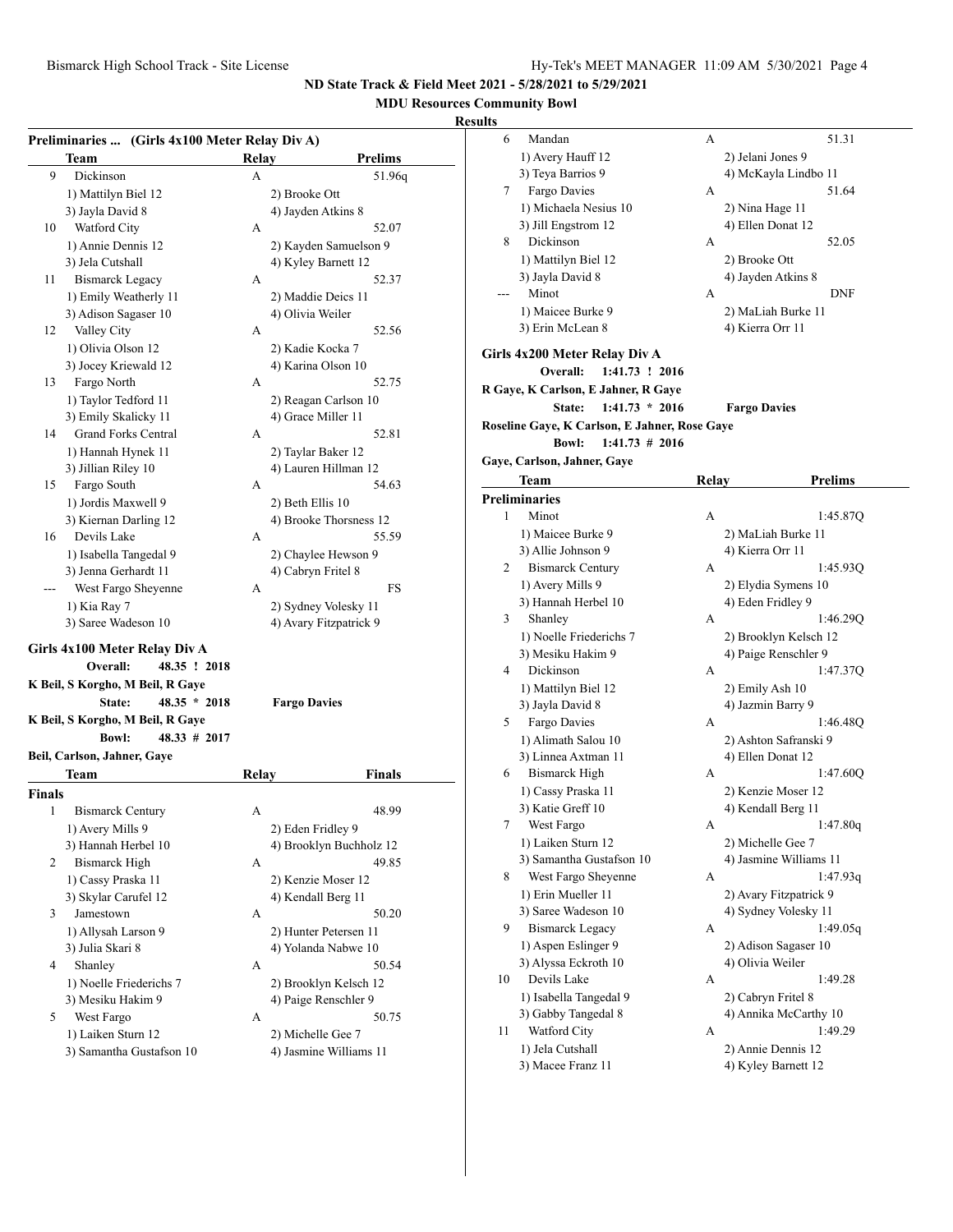## **MDU Resources Community Bowl**

|        | Preliminaries  (Girls 4x100 Meter Relay Div A) |       |                         |
|--------|------------------------------------------------|-------|-------------------------|
|        | Team                                           | Relay | <b>Prelims</b>          |
| 9      | Dickinson                                      | A     | 51.96q                  |
|        | 1) Mattilyn Biel 12                            |       | 2) Brooke Ott           |
|        | 3) Jayla David 8                               |       | 4) Jayden Atkins 8      |
| 10     | Watford City                                   | А     | 52.07                   |
|        | 1) Annie Dennis 12                             |       | 2) Kayden Samuelson 9   |
|        | 3) Jela Cutshall                               |       | 4) Kyley Barnett 12     |
| 11     | <b>Bismarck Legacy</b>                         | A     | 52.37                   |
|        | 1) Emily Weatherly 11                          |       | 2) Maddie Deics 11      |
|        | 3) Adison Sagaser 10                           |       | 4) Olivia Weiler        |
| 12     | Valley City                                    | А     | 52.56                   |
|        | 1) Olivia Olson 12                             |       | 2) Kadie Kocka 7        |
|        | 3) Jocey Kriewald 12                           |       | 4) Karina Olson 10      |
| 13     | Fargo North                                    | А     | 52.75                   |
|        | 1) Taylor Tedford 11                           |       | 2) Reagan Carlson 10    |
|        | 3) Emily Skalicky 11                           |       | 4) Grace Miller 11      |
| 14     | <b>Grand Forks Central</b>                     | A     | 52.81                   |
|        | 1) Hannah Hynek 11                             |       | 2) Taylar Baker 12      |
|        | 3) Jillian Riley 10                            |       | 4) Lauren Hillman 12    |
| 15     | Fargo South                                    | A     | 54.63                   |
|        | 1) Jordis Maxwell 9                            |       | 2) Beth Ellis 10        |
|        | 3) Kiernan Darling 12                          |       | 4) Brooke Thorsness 12  |
| 16     | Devils Lake                                    | А     | 55.59                   |
|        | 1) Isabella Tangedal 9                         |       | 2) Chaylee Hewson 9     |
|        | 3) Jenna Gerhardt 11                           |       | 4) Cabryn Fritel 8      |
|        | West Fargo Sheyenne                            | А     | FS                      |
|        | 1) Kia Ray 7                                   |       | 2) Sydney Volesky 11    |
|        | 3) Saree Wadeson 10                            |       | 4) Avary Fitzpatrick 9  |
|        |                                                |       |                         |
|        | Girls 4x100 Meter Relay Div A                  |       |                         |
|        | Overall:<br>48.35 ! 2018                       |       |                         |
|        | K Beil, S Korgho, M Beil, R Gaye               |       |                         |
|        | $48.35 * 2018$<br>State:                       |       | <b>Fargo Davies</b>     |
|        | K Beil, S Korgho, M Beil, R Gaye               |       |                         |
|        | <b>Bowl:</b><br>$48.33 \# 2017$                |       |                         |
|        | Beil, Carlson, Jahner, Gaye                    |       |                         |
|        | Team                                           | Relay | Finals                  |
| Finals |                                                |       |                         |
| 1      | <b>Bismarck Century</b>                        | А     | 48.99                   |
|        | 1) Avery Mills 9                               |       | 2) Eden Fridley 9       |
|        | 3) Hannah Herbel 10                            |       | 4) Brooklyn Buchholz 12 |
| 2      | Bismarck High                                  | А     | 49.85                   |
|        | 1) Cassy Praska 11                             |       | 2) Kenzie Moser 12      |
|        | 3) Skylar Carufel 12                           |       | 4) Kendall Berg 11      |
| 3      | Jamestown                                      | А     | 50.20                   |
|        | 1) Allysah Larson 9                            |       | 2) Hunter Petersen 11   |
|        | 3) Julia Skari 8                               |       | 4) Yolanda Nabwe 10     |
| 4      | Shanley                                        | А     | 50.54                   |
|        | 1) Noelle Friederichs 7                        |       | 2) Brooklyn Kelsch 12   |
|        | 3) Mesiku Hakim 9                              |       | 4) Paige Renschler 9    |
| 5      | West Fargo                                     | А     | 50.75                   |
|        | 1) Laiken Sturn 12                             |       | 2) Michelle Gee 7       |
|        | 3) Samantha Gustafson 10                       |       | 4) Jasmine Williams 11  |
|        |                                                |       |                         |

| ults |                                               |       |                                            |
|------|-----------------------------------------------|-------|--------------------------------------------|
| 6    | Mandan                                        | А     | 51.31                                      |
|      | 1) Avery Hauff 12                             |       | 2) Jelani Jones 9                          |
|      | 3) Teya Barrios 9                             |       | 4) McKayla Lindbo 11                       |
| 7    | Fargo Davies                                  | А     | 51.64                                      |
|      | 1) Michaela Nesius 10                         |       | 2) Nina Hage 11                            |
|      | 3) Jill Engstrom 12                           |       | 4) Ellen Donat 12                          |
| 8    | Dickinson                                     | А     | 52.05                                      |
|      | 1) Mattilyn Biel 12                           |       | 2) Brooke Ott                              |
|      | 3) Jayla David 8                              |       | 4) Jayden Atkins 8                         |
| ---  | Minot                                         | А     | <b>DNF</b>                                 |
|      | 1) Maicee Burke 9                             |       | 2) MaLiah Burke 11                         |
|      | 3) Erin McLean 8                              |       | 4) Kierra Orr 11                           |
|      | Girls 4x200 Meter Relay Div A                 |       |                                            |
|      | 1:41.73 ! 2016<br>Overall:                    |       |                                            |
|      | R Gaye, K Carlson, E Jahner, R Gaye           |       |                                            |
|      | $1:41.73 * 2016$<br>State:                    |       | <b>Fargo Davies</b>                        |
|      | Roseline Gaye, K Carlson, E Jahner, Rose Gaye |       |                                            |
|      | <b>Bowl:</b><br>$1:41.73$ # 2016              |       |                                            |
|      | Gaye, Carlson, Jahner, Gaye                   |       |                                            |
|      | Team                                          | Relay | <b>Prelims</b>                             |
|      | <b>Preliminaries</b>                          |       |                                            |
| 1    | Minot                                         | А     | 1:45.87Q                                   |
|      | 1) Maicee Burke 9                             |       | 2) MaLiah Burke 11                         |
|      | 3) Allie Johnson 9                            |       | 4) Kierra Orr 11                           |
| 2    | <b>Bismarck Century</b>                       | А     | 1:45.93Q                                   |
|      | 1) Avery Mills 9                              |       | 2) Elydia Symens 10                        |
|      | 3) Hannah Herbel 10                           |       | 4) Eden Fridley 9                          |
| 3    | Shanley                                       | А     | 1:46.29Q                                   |
|      | 1) Noelle Friederichs 7                       |       | 2) Brooklyn Kelsch 12                      |
|      | 3) Mesiku Hakim 9                             |       | 4) Paige Renschler 9                       |
| 4    | Dickinson                                     | А     | 1:47.37Q                                   |
|      | 1) Mattilyn Biel 12                           |       | 2) Emily Ash 10                            |
|      | 3) Jayla David 8                              |       | 4) Jazmin Barry 9                          |
| 5.   | Fargo Davies                                  | А     | 1:46.48Q                                   |
|      | 1) Alimath Salou 10<br>3) Linnea Axtman 11    |       | 2) Ashton Safranski 9<br>4) Ellen Donat 12 |
| 6    | <b>Bismarck High</b>                          | А     | 1:47.60Q                                   |
|      | 1) Cassy Praska 11                            |       | 2) Kenzie Moser 12                         |
|      | 3) Katie Greff 10                             |       | 4) Kendall Berg 11                         |
| 7    | West Fargo                                    | A     | 1:47.80q                                   |
|      | 1) Laiken Sturn 12                            |       | 2) Michelle Gee 7                          |
|      | 3) Samantha Gustafson 10                      |       | 4) Jasmine Williams 11                     |
| 8    | West Fargo Sheyenne                           | А     | 1:47.93q                                   |
|      | 1) Erin Mueller 11                            |       | 2) Avary Fitzpatrick 9                     |
|      | 3) Saree Wadeson 10                           |       | 4) Sydney Volesky 11                       |
| 9    | <b>Bismarck Legacy</b>                        | А     | 1:49.05q                                   |
|      | 1) Aspen Eslinger 9                           |       | 2) Adison Sagaser 10                       |
|      | 3) Alyssa Eckroth 10                          |       | 4) Olivia Weiler                           |
| 10   | Devils Lake                                   | А     | 1:49.28                                    |
|      | 1) Isabella Tangedal 9                        |       | 2) Cabryn Fritel 8                         |
|      | 3) Gabby Tangedal 8                           |       | 4) Annika McCarthy 10                      |
| 11   | Watford City                                  | А     | 1:49.29                                    |
|      | 1) Jela Cutshall                              |       | 2) Annie Dennis 12                         |
|      | 3) Macee Franz 11                             |       | 4) Kyley Barnett 12                        |
|      |                                               |       |                                            |
|      |                                               |       |                                            |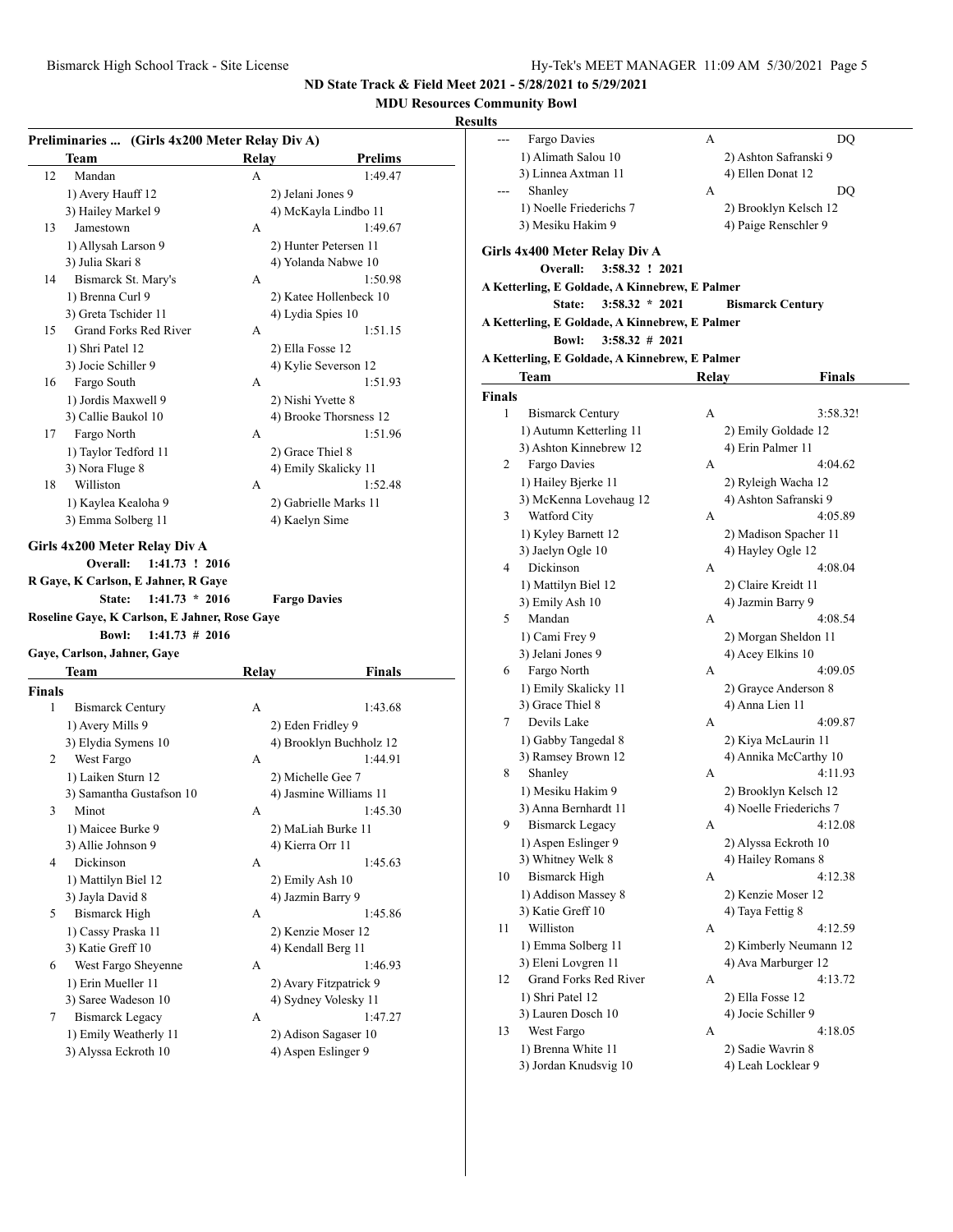# **MDU Resources Community Bowl**

| 12<br>13      | Team                                                             | Relay | <b>Prelims</b>                  |
|---------------|------------------------------------------------------------------|-------|---------------------------------|
|               | Mandan                                                           | A     | 1:49.47                         |
|               | 1) Avery Hauff 12                                                |       | 2) Jelani Jones 9               |
|               | 3) Hailey Markel 9                                               |       | 4) McKayla Lindbo 11            |
|               | Jamestown                                                        | А     | 1:49.67                         |
|               | 1) Allysah Larson 9                                              |       | 2) Hunter Petersen 11           |
|               | 3) Julia Skari 8                                                 |       | 4) Yolanda Nabwe 10             |
| 14            | Bismarck St. Mary's                                              | A     | 1:50.98                         |
|               | 1) Brenna Curl 9                                                 |       | 2) Katee Hollenbeck 10          |
|               | 3) Greta Tschider 11                                             |       | 4) Lydia Spies 10               |
| 15            | Grand Forks Red River                                            | А     | 1:51.15                         |
|               | 1) Shri Patel 12                                                 |       | 2) Ella Fosse 12                |
|               | 3) Jocie Schiller 9                                              |       | 4) Kylie Severson 12            |
| 16            | Fargo South                                                      | A     | 1:51.93                         |
|               | 1) Jordis Maxwell 9                                              |       | 2) Nishi Yvette 8               |
|               | 3) Callie Baukol 10                                              |       | 4) Brooke Thorsness 12          |
| 17            | Fargo North                                                      | А     | 1:51.96                         |
|               | 1) Taylor Tedford 11                                             |       | 2) Grace Thiel 8                |
|               | 3) Nora Fluge 8                                                  |       | 4) Emily Skalicky 11            |
| 18            | Williston                                                        | A     | 1:52.48                         |
|               | 1) Kaylea Kealoha 9                                              |       | 2) Gabrielle Marks 11           |
|               | 3) Emma Solberg 11                                               |       | 4) Kaelyn Sime                  |
|               | $1:41.73 \# 2016$<br><b>Bowl:</b><br>Gaye, Carlson, Jahner, Gaye |       |                                 |
|               | Team                                                             | Relay | Finals                          |
| <b>Finals</b> |                                                                  |       |                                 |
| 1             |                                                                  |       |                                 |
|               | <b>Bismarck Century</b>                                          | А     | 1:43.68                         |
|               | 1) Avery Mills 9                                                 |       | 2) Eden Fridley 9               |
|               | 3) Elydia Symens 10                                              |       | 4) Brooklyn Buchholz 12         |
| 2             | West Fargo                                                       | А     | 1:44.91                         |
|               | 1) Laiken Sturn 12                                               |       | 2) Michelle Gee 7               |
|               | 3) Samantha Gustafson 10                                         |       | 4) Jasmine Williams 11          |
| 3             | Minot                                                            | А     | 1:45.30                         |
|               | 1) Maicee Burke 9                                                |       | 2) MaLiah Burke 11              |
|               | 3) Allie Johnson 9                                               |       | 4) Kierra Orr 11                |
| 4             | Dickinson                                                        | А     | 1:45.63                         |
|               | 1) Mattilyn Biel 12                                              |       | 2) Emily Ash 10                 |
|               | 3) Jayla David 8                                                 |       | 4) Jazmin Barry 9               |
| 5             | <b>Bismarck High</b>                                             | А     | 1:45.86                         |
|               | 1) Cassy Praska 11                                               |       | 2) Kenzie Moser 12              |
|               | 3) Katie Greff 10                                                |       | 4) Kendall Berg 11              |
| 6             | West Fargo Sheyenne                                              | А     | 1:46.93                         |
|               | 1) Erin Mueller 11                                               |       | 2) Avary Fitzpatrick 9          |
|               | 3) Saree Wadeson 10                                              |       | 4) Sydney Volesky 11            |
| 7             | <b>Bismarck Legacy</b><br>1) Emily Weatherly 11                  | А     | 1:47.27<br>2) Adison Sagaser 10 |

| lts    |                                                |       |                                  |
|--------|------------------------------------------------|-------|----------------------------------|
| ---    | Fargo Davies                                   | А     | DQ                               |
|        | 1) Alimath Salou 10                            |       | 2) Ashton Safranski 9            |
|        | 3) Linnea Axtman 11                            |       | 4) Ellen Donat 12                |
|        | Shanley                                        | А     | DQ                               |
|        | 1) Noelle Friederichs 7                        |       | 2) Brooklyn Kelsch 12            |
|        | 3) Mesiku Hakim 9                              |       | 4) Paige Renschler 9             |
|        |                                                |       |                                  |
|        | Girls 4x400 Meter Relay Div A                  |       |                                  |
|        | Overall:<br>3:58.32 ! 2021                     |       |                                  |
|        | A Ketterling, E Goldade, A Kinnebrew, E Palmer |       |                                  |
|        | $3:58.32 * 2021$<br>State:                     |       | <b>Bismarck Century</b>          |
|        | A Ketterling, E Goldade, A Kinnebrew, E Palmer |       |                                  |
|        | <b>Bowl:</b><br>$3:58.32 \# 2021$              |       |                                  |
|        | A Ketterling, E Goldade, A Kinnebrew, E Palmer |       |                                  |
|        | Team                                           | Relay | <b>Finals</b>                    |
| Finals |                                                |       |                                  |
| 1      | <b>Bismarck Century</b>                        | А     | 3:58.32!                         |
|        | 1) Autumn Ketterling 11                        |       | 2) Emily Goldade 12              |
|        | 3) Ashton Kinnebrew 12                         |       | 4) Erin Palmer 11                |
| 2      | Fargo Davies                                   | А     | 4:04.62                          |
|        | 1) Hailey Bjerke 11                            |       | 2) Ryleigh Wacha 12              |
|        | 3) McKenna Lovehaug 12<br>Watford City         |       | 4) Ashton Safranski 9            |
| 3      |                                                | А     | 4:05.89<br>2) Madison Spacher 11 |
|        | 1) Kyley Barnett 12<br>3) Jaelyn Ogle 10       |       | 4) Hayley Ogle 12                |
| 4      | Dickinson                                      | А     | 4:08.04                          |
|        | 1) Mattilyn Biel 12                            |       | 2) Claire Kreidt 11              |
|        | 3) Emily Ash 10                                |       | 4) Jazmin Barry 9                |
| 5      | Mandan                                         | A     | 4:08.54                          |
|        | 1) Cami Frey 9                                 |       | 2) Morgan Sheldon 11             |
|        | 3) Jelani Jones 9                              |       | 4) Acey Elkins 10                |
| 6      | Fargo North                                    | А     | 4:09.05                          |
|        | 1) Emily Skalicky 11                           |       | 2) Grayce Anderson 8             |
|        | 3) Grace Thiel 8                               |       | 4) Anna Lien 11                  |
| 7      | Devils Lake                                    | А     | 4:09.87                          |
|        | 1) Gabby Tangedal 8                            |       | 2) Kiya McLaurin 11              |
|        | 3) Ramsey Brown 12                             |       | 4) Annika McCarthy 10            |
| 8      | Shanley                                        | А     | 4:11.93                          |
|        | 1) Mesiku Hakim 9                              |       | 2) Brooklyn Kelsch 12            |
|        | 3) Anna Bernhardt 11                           |       | 4) Noelle Friederichs 7          |
| 9      | <b>Bismarck Legacy</b>                         | А     | 4:12.08                          |
|        | 1) Aspen Eslinger 9                            |       | 2) Alyssa Eckroth 10             |
|        | 3) Whitney Welk 8                              |       | 4) Hailey Romans 8               |
| 10     | <b>Bismarck High</b><br>1) Addison Massey 8    | А     | 4:12.38<br>2) Kenzie Moser 12    |
|        | 3) Katie Greff 10                              |       | 4) Taya Fettig 8                 |
| 11     | Williston                                      | А     | 4:12.59                          |
|        | 1) Emma Solberg 11                             |       | 2) Kimberly Neumann 12           |
|        | 3) Eleni Lovgren 11                            |       | 4) Ava Marburger 12              |
| 12     | <b>Grand Forks Red River</b>                   | А     | 4:13.72                          |
|        | 1) Shri Patel 12                               |       | 2) Ella Fosse 12                 |
|        | 3) Lauren Dosch 10                             |       | 4) Jocie Schiller 9              |
| 13     | West Fargo                                     | А     | 4:18.05                          |
|        | 1) Brenna White 11                             |       | 2) Sadie Wavrin 8                |
|        | 3) Jordan Knudsvig 10                          |       | 4) Leah Locklear 9               |
|        |                                                |       |                                  |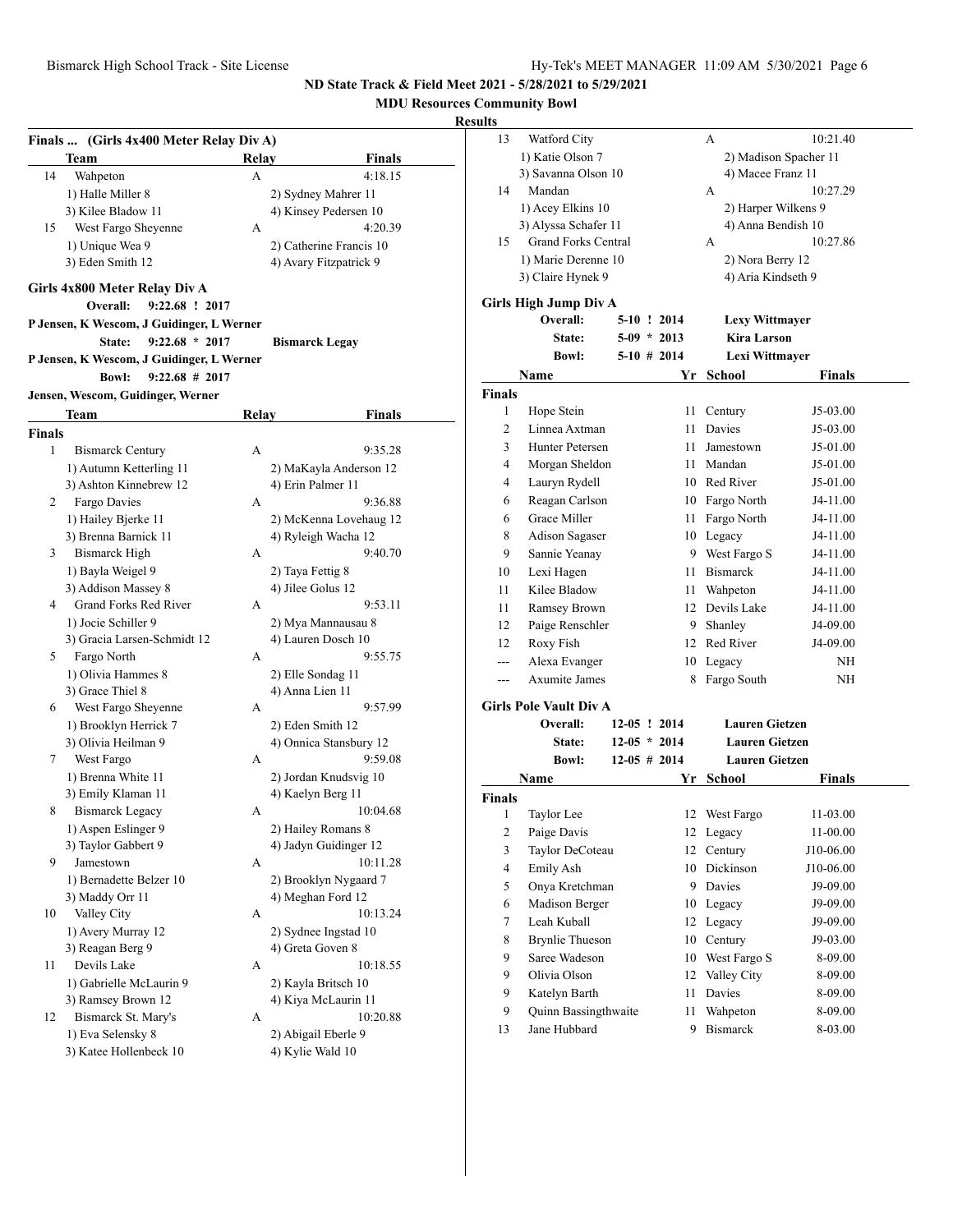**MDU Resources Community Bowl**

|                    | Finals  (Girls 4x400 Meter Relay Div A)                                 |       |                         |
|--------------------|-------------------------------------------------------------------------|-------|-------------------------|
|                    | Team                                                                    | Relay | <b>Finals</b>           |
| 14                 | Wahpeton                                                                | А     | 4:18.15                 |
|                    | 1) Halle Miller 8                                                       |       | 2) Sydney Mahrer 11     |
|                    | 3) Kilee Bladow 11                                                      |       | 4) Kinsey Pedersen 10   |
| 15                 | West Fargo Sheyenne                                                     | A     | 4:20.39                 |
|                    | 1) Unique Wea 9                                                         |       | 2) Catherine Francis 10 |
|                    | 3) Eden Smith 12                                                        |       | 4) Avary Fitzpatrick 9  |
|                    | Girls 4x800 Meter Relay Div A                                           |       |                         |
|                    | 9:22.68 ! 2017<br>Overall:<br>P Jensen, K Wescom, J Guidinger, L Werner |       |                         |
|                    | $9:22.68 * 2017$<br>State:                                              |       | <b>Bismarck Legay</b>   |
|                    | P Jensen, K Wescom, J Guidinger, L Werner                               |       |                         |
|                    | <b>Bowl:</b><br>$9:22.68 \# 2017$                                       |       |                         |
|                    | Jensen, Wescom, Guidinger, Werner                                       |       |                         |
|                    |                                                                         |       |                         |
|                    | Team                                                                    | Relay | Finals                  |
| <b>Finals</b><br>1 |                                                                         |       |                         |
|                    | <b>Bismarck Century</b>                                                 | А     | 9:35.28                 |
|                    | 1) Autumn Ketterling 11                                                 |       | 2) MaKayla Anderson 12  |
|                    | 3) Ashton Kinnebrew 12                                                  |       | 4) Erin Palmer 11       |
| 2                  | Fargo Davies                                                            | А     | 9:36.88                 |
|                    | 1) Hailey Bjerke 11                                                     |       | 2) McKenna Lovehaug 12  |
|                    | 3) Brenna Barnick 11                                                    |       | 4) Ryleigh Wacha 12     |
| 3                  | <b>Bismarck High</b>                                                    | A     | 9:40.70                 |
|                    | 1) Bayla Weigel 9                                                       |       | 2) Taya Fettig 8        |
|                    | 3) Addison Massey 8                                                     |       | 4) Jilee Golus 12       |
| 4                  | Grand Forks Red River                                                   | A     | 9:53.11                 |
|                    | 1) Jocie Schiller 9                                                     |       | 2) Mya Mannausau 8      |
|                    | 3) Gracia Larsen-Schmidt 12                                             |       | 4) Lauren Dosch 10      |
| 5                  | Fargo North                                                             | А     | 9:55.75                 |
|                    | 1) Olivia Hammes 8                                                      |       | 2) Elle Sondag 11       |
|                    | 3) Grace Thiel 8                                                        |       | 4) Anna Lien 11         |
| 6                  | West Fargo Sheyenne                                                     | А     | 9:57.99                 |
|                    | 1) Brooklyn Herrick 7                                                   |       | 2) Eden Smith 12        |
|                    | 3) Olivia Heilman 9                                                     |       | 4) Onnica Stansbury 12  |
| 7                  | West Fargo                                                              | A     | 9:59.08                 |
|                    | 1) Brenna White 11                                                      |       | 2) Jordan Knudsvig 10   |
|                    | 3) Emily Klaman 11                                                      |       | 4) Kaelyn Berg 11       |
| 8                  | <b>Bismarck Legacy</b>                                                  | А     | 10:04.68                |
|                    | 1) Aspen Eslinger 9                                                     |       | 2) Hailey Romans 8      |
|                    | 3) Taylor Gabbert 9                                                     |       | 4) Jadyn Guidinger 12   |
| 9                  | Jamestown                                                               | А     | 10:11.28                |
|                    | 1) Bernadette Belzer 10                                                 |       | 2) Brooklyn Nygaard 7   |
|                    | 3) Maddy Orr 11                                                         |       | 4) Meghan Ford 12       |
| 10                 | Valley City                                                             | А     | 10:13.24                |
|                    | 1) Avery Murray 12                                                      |       | 2) Sydnee Ingstad 10    |
|                    | 3) Reagan Berg 9                                                        |       | 4) Greta Goven 8        |
| 11                 | Devils Lake                                                             | А     | 10:18.55                |
|                    | 1) Gabrielle McLaurin 9                                                 |       | 2) Kayla Britsch 10     |
|                    | 3) Ramsey Brown 12                                                      |       | 4) Kiya McLaurin 11     |
| 12                 | Bismarck St. Mary's                                                     | А     | 10:20.88                |
|                    | 1) Eva Selensky 8                                                       |       | 2) Abigail Eberle 9     |
|                    | 3) Katee Hollenbeck 10                                                  |       | 4) Kylie Wald 10        |

| 13                      | Watford City                  |  |                | А                     | 10:21.40              |
|-------------------------|-------------------------------|--|----------------|-----------------------|-----------------------|
|                         | 1) Katie Olson 7              |  |                |                       | 2) Madison Spacher 11 |
|                         | 3) Savanna Olson 10           |  |                | 4) Macee Franz 11     |                       |
| 14                      | Mandan                        |  |                | А                     | 10:27.29              |
|                         | 1) Acey Elkins 10             |  |                | 2) Harper Wilkens 9   |                       |
|                         | 3) Alyssa Schafer 11          |  |                | 4) Anna Bendish 10    |                       |
| 15                      | <b>Grand Forks Central</b>    |  |                | А                     | 10:27.86              |
|                         | 1) Marie Derenne 10           |  |                | 2) Nora Berry 12      |                       |
|                         | 3) Claire Hynek 9             |  |                | 4) Aria Kindseth 9    |                       |
|                         | <b>Girls High Jump Div A</b>  |  |                |                       |                       |
|                         | Overall:                      |  | 5-10 ! 2014    | <b>Lexy Wittmayer</b> |                       |
|                         | <b>State:</b>                 |  | $5-09 * 2013$  | <b>Kira Larson</b>    |                       |
|                         | <b>Bowl:</b>                  |  | $5-10$ # 2014  | Lexi Wittmayer        |                       |
|                         | Name                          |  | Yr             | <b>School</b>         | Finals                |
| <b>Finals</b>           |                               |  |                |                       |                       |
| 1                       | Hope Stein                    |  | 11             | Century               | J5-03.00              |
| 2                       | Linnea Axtman                 |  | 11             | Davies                | J5-03.00              |
| 3                       | Hunter Petersen               |  | 11             | Jamestown             | J5-01.00              |
| 4                       | Morgan Sheldon                |  |                | 11 Mandan             | J5-01.00              |
| 4                       | Lauryn Rydell                 |  |                | 10 Red River          | J5-01.00              |
| 6                       | Reagan Carlson                |  |                | 10 Fargo North        | J4-11.00              |
| 6                       | Grace Miller                  |  | 11 -           | Fargo North           | J4-11.00              |
| 8                       | Adison Sagaser                |  |                | 10 Legacy             | J4-11.00              |
| 9                       | Sannie Yeanay                 |  |                | 9 West Fargo S        | J4-11.00              |
| 10                      | Lexi Hagen                    |  | 11             | <b>Bismarck</b>       | J4-11.00              |
| 11                      | Kilee Bladow                  |  | 11 -           | Wahpeton              | J4-11.00              |
| 11                      | Ramsey Brown                  |  | 12             | Devils Lake           | J4-11.00              |
| 12                      | Paige Renschler               |  | 9              | Shanley               | J4-09.00              |
| 12                      | Roxy Fish                     |  |                | 12 Red River          | J4-09.00              |
| $-$ --                  | Alexa Evanger                 |  | 10             | Legacy                | ΝH                    |
| $---$                   | <b>Axumite James</b>          |  | 8              | Fargo South           | ΝH                    |
|                         |                               |  |                |                       |                       |
|                         | <b>Girls Pole Vault Div A</b> |  |                |                       |                       |
|                         | <b>Overall:</b>               |  | 12-05 ! 2014   | <b>Lauren Gietzen</b> |                       |
|                         | <b>State:</b>                 |  | $12-05 * 2014$ | <b>Lauren Gietzen</b> |                       |
|                         | <b>Bowl:</b>                  |  | $12-05$ # 2014 | <b>Lauren Gietzen</b> |                       |
|                         | Name                          |  | Yr             | <b>School</b>         | Finals                |
| Finals                  |                               |  |                |                       |                       |
| 1                       | Taylor Lee                    |  | 12             | West Fargo            | 11-03.00              |
| $\overline{\mathbf{c}}$ | Paige Davis                   |  | 12             | Legacy                | 11-00.00              |
| 3                       | Taylor DeCoteau               |  | 12             | Century               | J10-06.00             |
| $\overline{4}$          | Emily Ash                     |  | 10             | Dickinson             | J10-06.00             |
| 5                       | Onya Kretchman                |  |                | 9 Davies              | J9-09.00              |
| 6                       | Madison Berger                |  | 10             | Legacy                | J9-09.00              |
| $\tau$                  | Leah Kuball                   |  | 12             | Legacy                | J9-09.00              |
| 8                       | <b>Brynlie Thueson</b>        |  | 10             | Century               | J9-03.00              |
| 9                       | Saree Wadeson                 |  | 10             | West Fargo S          | 8-09.00               |
| 9                       | Olivia Olson                  |  | 12             | Valley City           | 8-09.00               |
| 9                       | Katelyn Barth                 |  | 11             | Davies                | 8-09.00               |
| 9                       | Quinn Bassingthwaite          |  | 11             | Wahpeton              | 8-09.00               |
| 13                      | Jane Hubbard                  |  | 9              | <b>Bismarck</b>       | 8-03.00               |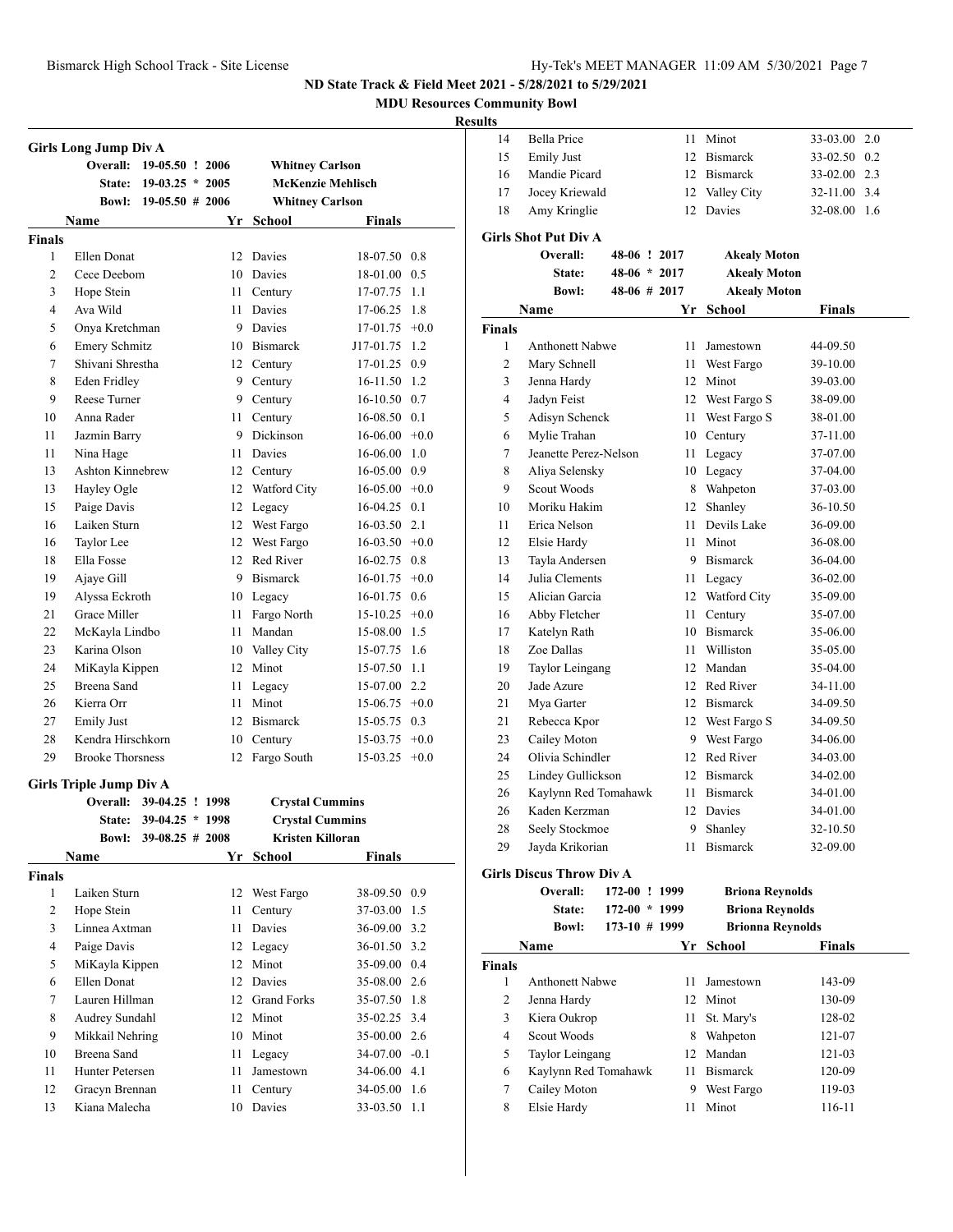**MDU Resources Community Bowl**

|                | <b>Girls Long Jump Div A</b>               |                    |      |                          |                          |        |
|----------------|--------------------------------------------|--------------------|------|--------------------------|--------------------------|--------|
|                | Overall:                                   | 19-05.50 ! 2006    |      | <b>Whitney Carlson</b>   |                          |        |
|                | <b>State:</b>                              | $19-03.25 * 2005$  |      |                          | <b>McKenzie Mehlisch</b> |        |
|                | <b>Bowl:</b>                               | $19-05.50$ # 2006  |      | <b>Whitney Carlson</b>   |                          |        |
|                | Name                                       |                    | Yr   | School                   | <b>Finals</b>            |        |
| <b>Finals</b>  |                                            |                    |      |                          |                          |        |
| 1              | Ellen Donat                                |                    |      | 12 Davies                | 18-07.50 0.8             |        |
| $\overline{c}$ | Cece Deebom                                |                    | 10   | Davies                   | 18-01.00                 | 0.5    |
| 3              | Hope Stein                                 |                    | 11 - | Century                  | 17-07.75                 | 1.1    |
| 4              | Ava Wild                                   |                    | 11   | Davies                   | 17-06.25                 | 1.8    |
| 5              | Onya Kretchman                             |                    | 9.   | Davies                   | 17-01.75                 | $+0.0$ |
| 6              | <b>Emery Schmitz</b>                       |                    |      | 10 Bismarck              | J17-01.75                | 1.2    |
| 7              | Shivani Shrestha                           |                    | 12   | Century                  | 17-01.25 0.9             |        |
| 8              | Eden Fridley                               |                    | 9.   | Century                  | 16-11.50 1.2             |        |
| 9              | Reese Turner                               |                    |      | 9 Century                | 16-10.50 0.7             |        |
| 10             | Anna Rader                                 |                    | 11   | Century                  | 16-08.50 0.1             |        |
| 11             | Jazmin Barry                               |                    | 9    | Dickinson                | 16-06.00                 | $+0.0$ |
| 11             | Nina Hage                                  |                    | 11 - | Davies                   | 16-06.00                 | 1.0    |
| 13             | Ashton Kinnebrew                           |                    |      | 12 Century               | $16-05.00$ 0.9           |        |
| 13             | Hayley Ogle                                |                    |      | 12 Watford City          | 16-05.00                 | $+0.0$ |
| 15             | Paige Davis                                |                    |      | 12 Legacy                | 16-04.25                 | 0.1    |
| 16             | Laiken Sturn                               |                    |      | 12 West Fargo            | 16-03.50                 | 2.1    |
| 16             | Taylor Lee                                 |                    | 12   | West Fargo               | 16-03.50                 | $+0.0$ |
| 18             | Ella Fosse                                 |                    | 12   | Red River                | 16-02.75 0.8             |        |
| 19             | Ajaye Gill                                 |                    |      | 9 Bismarck               | 16-01.75                 | $+0.0$ |
|                | Alyssa Eckroth                             |                    |      |                          |                          | 0.6    |
| 19<br>21       | Grace Miller                               |                    | 11   | 10 Legacy<br>Fargo North | 16-01.75<br>15-10.25     | $+0.0$ |
| 22             |                                            |                    |      | Mandan                   |                          |        |
|                | McKayla Lindbo                             |                    | 11   |                          | 15-08.00                 | 1.5    |
| 23             | Karina Olson                               |                    |      | 10 Valley City           | 15-07.75 1.6             |        |
| 24             | MiKayla Kippen                             |                    |      | 12 Minot                 | 15-07.50 1.1             |        |
| 25             | Breena Sand                                |                    | 11   | Legacy                   | 15-07.00 2.2             |        |
| 26             | Kierra Orr                                 |                    | 11   | Minot                    | $15-06.75$ +0.0          |        |
| 27             | <b>Emily Just</b>                          |                    | 12   | <b>Bismarck</b>          | 15-05.75                 | 0.3    |
| 28             | Kendra Hirschkorn                          |                    | 10   | Century                  | 15-03.75                 | $+0.0$ |
| 29             | <b>Brooke Thorsness</b>                    |                    | 12   | Fargo South              | 15-03.25                 | $+0.0$ |
|                | <b>Girls Triple Jump Div A</b><br>Overall: | 39-04.25 ! 1998    |      | <b>Crystal Cummins</b>   |                          |        |
|                | State:                                     | 39-04.25 * 1998    |      | <b>Crystal Cummins</b>   |                          |        |
|                | <b>Bowl:</b>                               | $39-08.25 \# 2008$ |      | Kristen Killoran         |                          |        |
|                | <b>Name</b>                                |                    | Yr   | <b>School</b>            | Finals                   |        |
| <b>Finals</b>  |                                            |                    |      |                          |                          |        |
| 1              | Laiken Sturn                               |                    |      | 12 West Fargo            | 38-09.50 0.9             |        |
| $\overline{c}$ | Hope Stein                                 |                    | 11   | Century                  | 37-03.00                 | 1.5    |
| 3              | Linnea Axtman                              |                    | 11   | Davies                   | 36-09.00                 | 3.2    |
| $\overline{4}$ | Paige Davis                                |                    |      | 12 Legacy                | 36-01.50 3.2             |        |
| 5              | MiKayla Kippen                             |                    | 12   | Minot                    | 35-09.00                 | 0.4    |
|                | Ellen Donat                                |                    |      |                          |                          |        |
| 6              |                                            |                    |      | 12 Davies                | 35-08.00                 | 2.6    |
| 7              | Lauren Hillman                             |                    | 12   | <b>Grand Forks</b>       | 35-07.50 1.8             |        |
| 8              | Audrey Sundahl                             |                    | 12   | Minot                    | 35-02.25 3.4             |        |
| 9              | Mikkail Nehring                            |                    | 10   | Minot                    | 35-00.00 2.6             |        |
| 10             | Breena Sand                                |                    | 11   | Legacy                   | 34-07.00 -0.1            |        |
| 11             | Hunter Petersen                            |                    | 11   | Jamestown                | 34-06.00                 | 4.1    |
| 12             | Gracyn Brennan                             |                    | 11   | Century                  | 34-05.00                 | 1.6    |
| 13             | Kiana Malecha                              |                    | 10   | Davies                   | 33-03.50                 | 1.1    |

| uns            |                                 |                   |    |                        |              |  |
|----------------|---------------------------------|-------------------|----|------------------------|--------------|--|
| 14             | <b>Bella Price</b>              |                   | 11 | Minot                  | 33-03.00 2.0 |  |
| 15             | <b>Emily Just</b>               |                   |    | 12 Bismarck            | 33-02.50 0.2 |  |
| 16             | Mandie Picard                   |                   |    | 12 Bismarck            | 33-02.00 2.3 |  |
| 17             | Jocey Kriewald                  |                   |    | 12 Valley City         | 32-11.00 3.4 |  |
| 18             | Amy Kringlie                    |                   |    | 12 Davies              | 32-08.00 1.6 |  |
|                | <b>Girls Shot Put Div A</b>     |                   |    |                        |              |  |
|                | Overall:                        | 48-06 ! 2017      |    | <b>Akealy Moton</b>    |              |  |
|                | State:                          | $48-06 * 2017$    |    | <b>Akealy Moton</b>    |              |  |
|                | <b>Bowl:</b>                    | 48-06 # 2017      |    | <b>Akealy Moton</b>    |              |  |
|                | Name                            |                   |    | Yr School              | Finals       |  |
| <b>Finals</b>  |                                 |                   |    |                        |              |  |
| 1              | <b>Anthonett Nabwe</b>          |                   | 11 | Jamestown              | 44-09.50     |  |
| 2              | Mary Schnell                    |                   | 11 | West Fargo             | 39-10.00     |  |
| 3              | Jenna Hardy                     |                   |    | 12 Minot               | 39-03.00     |  |
| $\overline{4}$ | Jadyn Feist                     |                   |    | 12 West Fargo S        | 38-09.00     |  |
| 5              | Adisyn Schenck                  |                   | 11 | West Fargo S           | 38-01.00     |  |
| 6              | Mylie Trahan                    |                   |    | 10 Century             | 37-11.00     |  |
| $\tau$         | Jeanette Perez-Nelson           |                   | 11 | Legacy                 | 37-07.00     |  |
| 8              | Aliya Selensky                  |                   |    | 10 Legacy              | 37-04.00     |  |
| 9              | Scout Woods                     |                   |    | 8 Wahpeton             | 37-03.00     |  |
| 10             | Moriku Hakim                    |                   | 12 | Shanley                | 36-10.50     |  |
| 11             | Erica Nelson                    |                   | 11 | Devils Lake            | 36-09.00     |  |
| 12             | Elsie Hardy                     |                   | 11 | Minot                  | 36-08.00     |  |
| 13             | Tayla Andersen                  |                   |    | 9 Bismarck             | 36-04.00     |  |
| 14             | Julia Clements                  |                   | 11 | Legacy                 | 36-02.00     |  |
| 15             | Alician Garcia                  |                   |    | 12 Watford City        | 35-09.00     |  |
| 16             | Abby Fletcher                   |                   | 11 | Century                | 35-07.00     |  |
| 17             | Katelyn Rath                    |                   |    | 10 Bismarck            | 35-06.00     |  |
| 18             | Zoe Dallas                      |                   | 11 | Williston              | 35-05.00     |  |
| 19             | Taylor Leingang                 |                   |    | 12 Mandan              | 35-04.00     |  |
| 20             | Jade Azure                      |                   |    | 12 Red River           | 34-11.00     |  |
| 21             | Mya Garter                      |                   |    | 12 Bismarck            | 34-09.50     |  |
| 21             | Rebecca Kpor                    |                   |    | 12 West Fargo S        | 34-09.50     |  |
| 23             | Cailey Moton                    |                   |    | 9 West Fargo           | 34-06.00     |  |
| 24             | Olivia Schindler                |                   |    | 12 Red River           | 34-03.00     |  |
| 25             | Lindey Gullickson               |                   |    | 12 Bismarck            | 34-02.00     |  |
| 26             | Kaylynn Red Tomahawk            |                   |    | 11 Bismarck            | 34-01.00     |  |
| 26             | Kaden Kerzman                   |                   |    | 12 Davies              | 34-01.00     |  |
| 28             | Seely Stockmoe                  |                   | 9  | Shanley                | 32-10.50     |  |
| 29             | Jayda Krikorian                 |                   | 11 | <b>Bismarck</b>        | 32-09.00     |  |
|                | <b>Girls Discus Throw Div A</b> |                   |    |                        |              |  |
|                | Overall:                        | 172-00 ! 1999     |    | <b>Briona Reynolds</b> |              |  |
|                | State:                          | 172-00 * 1999     |    | <b>Briona Reynolds</b> |              |  |
|                | Rowl∙                           | $173-10 \pm 1999$ |    | Rrionna Revnolds       |              |  |

|               | <b>DUWE</b><br>173-10 # 1777 |    | вгюшіа кеупоюз  |               |  |
|---------------|------------------------------|----|-----------------|---------------|--|
|               | <b>Name</b>                  |    | Yr School       | <b>Finals</b> |  |
| <b>Finals</b> |                              |    |                 |               |  |
| 1             | Anthonett Nabwe              | 11 | Jamestown       | 143-09        |  |
| 2             | Jenna Hardy                  | 12 | Minot           | 130-09        |  |
| 3             | Kiera Oukrop                 | 11 | St. Mary's      | 128-02        |  |
| 4             | Scout Woods                  | 8  | Wahpeton        | 121-07        |  |
| 5             | Taylor Leingang              |    | 12 Mandan       | 121-03        |  |
| 6             | Kaylynn Red Tomahawk         | 11 | <b>Bismarck</b> | 120-09        |  |
| 7             | Cailey Moton                 | 9  | West Fargo      | 119-03        |  |
| 8             | Elsie Hardy                  | Н  | Minot           | 116-11        |  |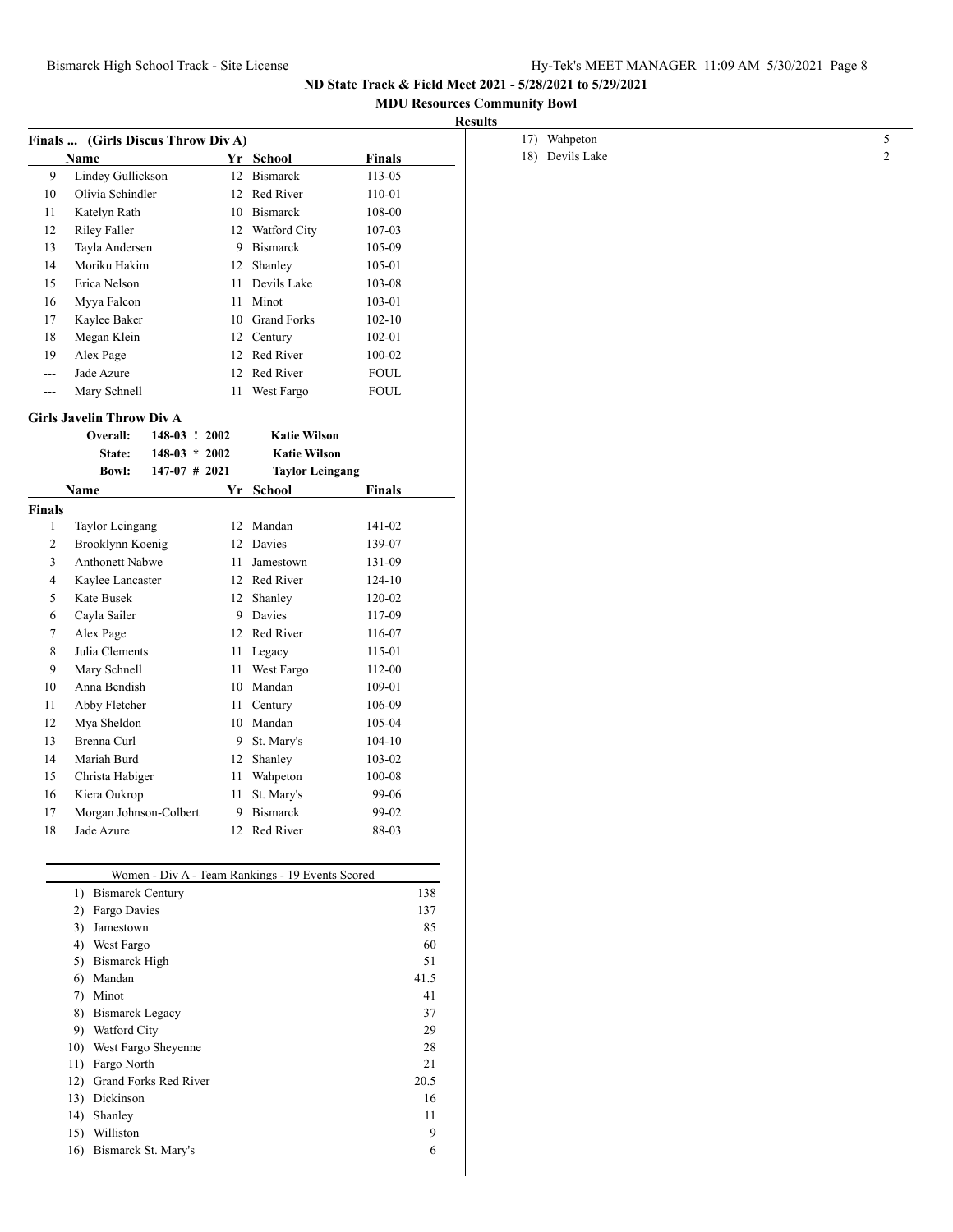## **MDU Resources Community Bowl**

| <b>Results</b> |  |
|----------------|--|
|----------------|--|

|                | Finals  (Girls Discus Throw Div A)  |                 |                                                  |               |
|----------------|-------------------------------------|-----------------|--------------------------------------------------|---------------|
|                | Name                                |                 | Yr School                                        | <b>Finals</b> |
| 9              | Lindey Gullickson                   |                 | 12 Bismarck                                      | $113 - 05$    |
| 10             | Olivia Schindler                    |                 | 12 Red River                                     | 110-01        |
| 11             | Katelyn Rath                        |                 | 10 Bismarck                                      | 108-00        |
| 12             | Riley Faller                        |                 | 12 Watford City                                  | 107-03        |
| 13             | Tayla Andersen                      |                 | 9 Bismarck                                       | 105-09        |
| 14             | Moriku Hakim                        |                 | 12 Shanley                                       | 105-01        |
| 15             | Erica Nelson                        |                 | 11 Devils Lake                                   | 103-08        |
| 16             | Myya Falcon                         |                 | 11 Minot                                         | 103-01        |
| 17             | Kaylee Baker                        |                 | 10 Grand Forks                                   | $102 - 10$    |
| 18             | Megan Klein                         |                 | 12 Century                                       | 102-01        |
| 19             | Alex Page                           |                 | 12 Red River                                     | 100-02        |
| $---$          | Jade Azure                          |                 | 12 Red River                                     | ${\tt FOUL}$  |
| $---$          | Mary Schnell                        |                 | 11 West Fargo                                    | ${\tt FOUL}$  |
|                | <b>Girls Javelin Throw Div A</b>    |                 |                                                  |               |
|                | Overall:                            | 148-03 ! 2002   | <b>Katie Wilson</b>                              |               |
|                |                                     | $148-03 * 2002$ | <b>Katie Wilson</b>                              |               |
|                | State:<br><b>Bowl:</b>              | $147-07$ # 2021 | <b>Taylor Leingang</b>                           |               |
|                |                                     |                 |                                                  |               |
|                | Name                                |                 | Yr School                                        | <b>Finals</b> |
| <b>Finals</b>  |                                     |                 | 12 Mandan                                        | 141-02        |
| $\mathbf{1}$   | Taylor Leingang<br>Brooklynn Koenig |                 | 12 Davies                                        | 139-07        |
| $\overline{c}$ | <b>Anthonett Nabwe</b>              |                 | 11 Jamestown                                     | 131-09        |
| 3<br>4         | Kaylee Lancaster                    |                 | 12 Red River                                     | 124-10        |
|                | Kate Busek                          |                 |                                                  | 120-02        |
| 5              |                                     |                 | 12 Shanley                                       |               |
| 6              | Cayla Sailer                        |                 | 9 Davies                                         | 117-09        |
| 7              | Alex Page                           |                 | 12 Red River                                     | 116-07        |
| 8              | Julia Clements                      |                 | 11 Legacy                                        | 115-01        |
| 9              | Mary Schnell                        |                 | 11 West Fargo                                    | 112-00        |
| 10             | Anna Bendish                        |                 | 10 Mandan                                        | 109-01        |
| 11             | Abby Fletcher                       |                 | 11 Century                                       | 106-09        |
| 12             | Mya Sheldon                         |                 | 10 Mandan                                        | 105-04        |
| 13             | Brenna Curl                         |                 | 9 St. Mary's                                     | $104 - 10$    |
| 14             | Mariah Burd                         |                 | 12 Shanley                                       | 103-02        |
| 15             | Christa Habiger                     |                 | 11 Wahpeton                                      | 100-08        |
| 16             | Kiera Oukrop                        |                 | 11 St. Mary's                                    | 99-06         |
| 17             | Morgan Johnson-Colbert              |                 | 9 Bismarck                                       | 99-02         |
| 18             | Jade Azure                          |                 | 12 Red River                                     | 88-03         |
|                |                                     |                 |                                                  |               |
|                |                                     |                 | Women - Div A - Team Rankings - 19 Events Scored |               |
|                | 1) Bismarck Century                 |                 |                                                  | 138           |
|                | 2) Fargo Davies                     |                 |                                                  | 137           |
|                | 3) Jamestown                        |                 |                                                  | 85            |
|                | 4) West Fargo                       |                 |                                                  | 60            |
|                | 5) Bismarck High                    |                 |                                                  | 51            |
|                | 6) Mandan                           |                 |                                                  | 41.5          |
|                | 7) Minot                            |                 |                                                  | 41            |
|                | <b>Bismarck Legacy</b><br>8)        |                 |                                                  | 37            |
|                | 9) Watford City                     |                 |                                                  | 29            |
|                | 10) West Fargo Sheyenne             |                 |                                                  | 28            |
|                | 11) Fargo North                     |                 |                                                  | 21            |
|                | 12) Grand Forks Red River           |                 |                                                  | 20.5          |
|                | 13) Dickinson                       |                 |                                                  | 16            |
|                | 14) Shanley                         |                 |                                                  | 11            |
|                | 15) Williston                       |                 |                                                  | 9             |
|                | 16) Bismarck St. Mary's             |                 |                                                  | 6             |
|                |                                     |                 |                                                  |               |
|                |                                     |                 |                                                  |               |